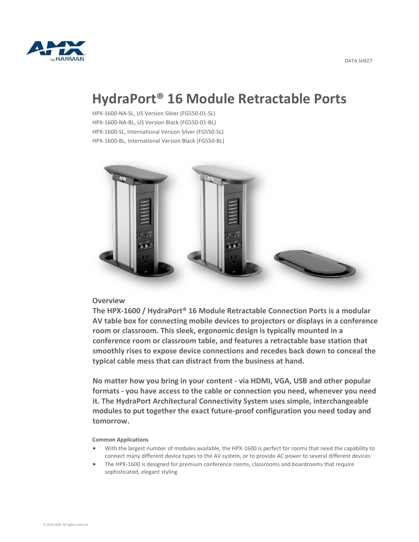

# **HydraPort® 16 Module Retractable Ports**

HPX-1600-NA-SL, US Version Silver (FG550-01-SL) HPX-1600-NA-BL, US Version Black (FG550-01-BL) HPX-1600-SL, International Version Silver (FG550-SL) HPX-1600-BL, International Version Black (FG550-BL)



## **Overview**

**The HPX-1600 / HydraPort® 16 Module Retractable Connection Ports is a modular AV table box for connecting mobile devices to projectors or displays in a conference room or classroom. This sleek, ergonomic design is typically mounted in a conference room or classroom table, and features a retractable base station that smoothly rises to expose device connections and recedes back down to conceal the typical cable mess that can distract from the business at hand.**

**No matter how you bring in your content - via HDMI, VGA, USB and other popular formats - you have access to the cable or connection you need, whenever you need it. The HydraPort Architectural Connectivity System uses simple, interchangeable modules to put together the exact future-proof configuration you need today and tomorrow.**

## **Common Applications**

- With the largest number of modules available, the HPX-1600 is perfect for rooms that need the capability to connect many different device types to the AV system, or to provide AC power to several different devices
- The HPX-1600 is designed for premium conference rooms, classrooms and boardrooms that require sophisticated, elegant styling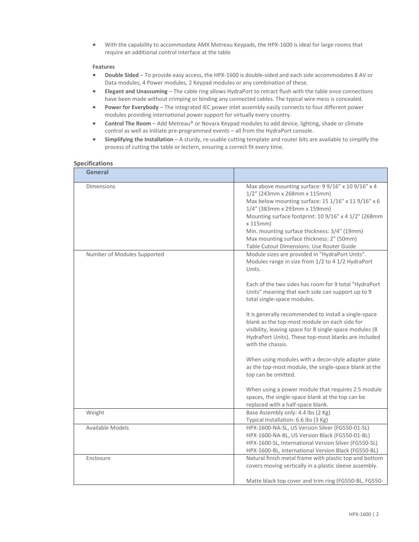With the capability to accommodate AMX Metreau Keypads, the HPX-1600 is ideal for large rooms that require an additional control interface at the table

### **Features**

- **Double Sided** To provide easy access, the HPX-1600 is double-sided and each side accommodates 8 AV or Data modules, 4 Power modules, 2 Keypad modules or any combination of these.
- **Elegant and Unassuming** The cable ring allows HydraPort to retract flush with the table once connections have been made without crimping or binding any connected cables. The typical wire mess is concealed.
- **Power for Everybody** The integrated IEC power inlet assembly easily connects to four different power modules providing international power support for virtually every country.
- **Control The Room** Add Metreau® or Novara Keypad modules to add device, lighting, shade or climate control as well as initiate pre-programmed events – all from the HydraPort console.
- **Simplifying the Installation** A sturdy, re-usable cutting template and router bits are available to simplify the process of cutting the table or lectern, ensuring a correct fit every time.

#### **Specifications**

| General                     |                                                                                                                                                                                                                                                                                                                                                                                               |
|-----------------------------|-----------------------------------------------------------------------------------------------------------------------------------------------------------------------------------------------------------------------------------------------------------------------------------------------------------------------------------------------------------------------------------------------|
| <b>Dimensions</b>           | Max above mounting surface: 9 9/16" x 10 9/16" x 4<br>1/2" (243mm x 268mm x 115mm)<br>Max below mounting surface: 15 1/16" x 11 9/16" x 6<br>1/4" (383mm x 293mm x 159mm)<br>Mounting surface footprint: 10 9/16" x 4 1/2" (268mm<br>$x$ 115 $mm$ )<br>Min. mounting surface thickness: 3/4" (19mm)<br>Max mounting surface thickness: 2" (50mm)<br>Table Cutout Dimensions: Use Router Guide |
| Number of Modules Supported | Module sizes are provided in "HydraPort Units".<br>Modules range in size from 1/2 to 4 1/2 HydraPort<br>Units.<br>Each of the two sides has room for 9 total "HydraPort                                                                                                                                                                                                                       |
|                             | Units" meaning that each side can support up to 9<br>total single-space modules.                                                                                                                                                                                                                                                                                                              |
|                             | It is generally recommended to install a single-space<br>blank as the top-most module on each side for<br>visibility, leaving space for 8 single-space modules (8<br>HydraPort Units). These top-most blanks are included<br>with the chassis.                                                                                                                                                |
|                             | When using modules with a decor-style adapter plate<br>as the top-most module, the single-space blank at the<br>top can be omitted.                                                                                                                                                                                                                                                           |
|                             | When using a power module that requires 2.5 module<br>spaces, the single-space blank at the top can be<br>replaced with a half-space blank.                                                                                                                                                                                                                                                   |
| Weight                      | Base Assembly only: 4.4 lbs (2 Kg)<br>Typical Installation: 6.6 lbs (3 Kg)                                                                                                                                                                                                                                                                                                                    |
| Available Models            | HPX-1600-NA-SL, US Version Silver (FG550-01-SL)<br>HPX-1600-NA-BL, US Version Black (FG550-01-BL)<br>HPX-1600-SL, International Version Silver (FG550-SL)<br>HPX-1600-BL, International Version Black (FG550-BL)                                                                                                                                                                              |
| Enclosure                   | Natural finish metal frame with plastic top and bottom<br>covers moving vertically in a plastic sleeve assembly.<br>Matte black top cover and trim ring (FG550-BL, FG550-                                                                                                                                                                                                                     |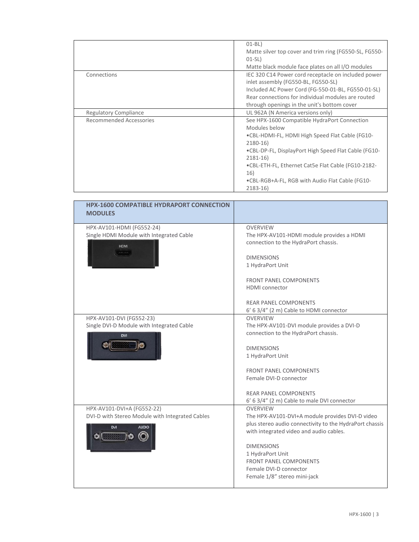|                              | $01-BL)$<br>Matte silver top cover and trim ring (FG550-SL, FG550- |
|------------------------------|--------------------------------------------------------------------|
|                              | $01-SL)$                                                           |
|                              | Matte black module face plates on all I/O modules                  |
| Connections                  | IEC 320 C14 Power cord receptacle on included power                |
|                              | inlet assembly (FG550-BL, FG550-SL)                                |
|                              | Included AC Power Cord (FG-550-01-BL, FG550-01-SL)                 |
|                              | Rear connections for individual modules are routed                 |
|                              | through openings in the unit's bottom cover                        |
| <b>Regulatory Compliance</b> | UL 962A (N America versions only)                                  |
| Recommended Accessories      | See HPX-1600 Compatible HydraPort Connection                       |
|                              | Modules below                                                      |
|                              | •CBL-HDMI-FL, HDMI High Speed Flat Cable (FG10-                    |
|                              | $2180-16$                                                          |
|                              | .CBL-DP-FL, DisplayPort High Speed Flat Cable (FG10-               |
|                              | $2181 - 16$                                                        |
|                              | •CBL-ETH-FL, Ethernet Cat5e Flat Cable (FG10-2182-                 |
|                              | 16)                                                                |
|                              | .CBL-RGB+A-FL, RGB with Audio Flat Cable (FG10-                    |
|                              |                                                                    |
|                              | $2183 - 16$                                                        |

| <b>HPX-1600 COMPATIBLE HYDRAPORT CONNECTION</b><br><b>MODULES</b>                                           |                                                                                                                                                                                                                                                                                                              |
|-------------------------------------------------------------------------------------------------------------|--------------------------------------------------------------------------------------------------------------------------------------------------------------------------------------------------------------------------------------------------------------------------------------------------------------|
| HPX-AV101-HDMI (FG552-24)<br>Single HDMI Module with Integrated Cable<br><b>HDMI</b>                        | <b>OVERVIEW</b><br>The HPX-AV101-HDMI module provides a HDMI<br>connection to the HydraPort chassis.<br><b>DIMENSIONS</b><br>1 HydraPort Unit<br><b>FRONT PANEL COMPONENTS</b><br><b>HDMI</b> connector                                                                                                      |
|                                                                                                             | <b>REAR PANEL COMPONENTS</b><br>6' 6 3/4" (2 m) Cable to HDMI connector                                                                                                                                                                                                                                      |
| HPX-AV101-DVI (FG552-23)<br>Single DVI-D Module with Integrated Cable<br><b>DVI</b>                         | <b>OVERVIEW</b><br>The HPX-AV101-DVI module provides a DVI-D<br>connection to the HydraPort chassis.<br><b>DIMENSIONS</b><br>1 HydraPort Unit<br><b>FRONT PANEL COMPONENTS</b><br>Female DVI-D connector<br><b>REAR PANEL COMPONENTS</b><br>6' 6 3/4" (2 m) Cable to male DVI connector                      |
| HPX-AV101-DVI+A (FG552-22)<br>DVI-D with Stereo Module with Integrated Cables<br><b>AUDIO</b><br><b>DVI</b> | <b>OVERVIEW</b><br>The HPX-AV101-DVI+A module provides DVI-D video<br>plus stereo audio connectivity to the HydraPort chassis<br>with integrated video and audio cables.<br><b>DIMENSIONS</b><br>1 HydraPort Unit<br><b>FRONT PANEL COMPONENTS</b><br>Female DVI-D connector<br>Female 1/8" stereo mini-jack |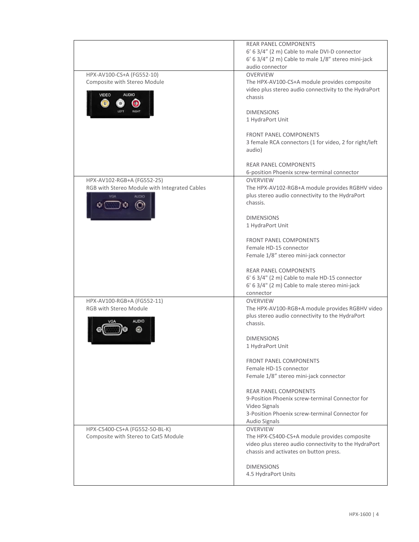|                                               | <b>REAR PANEL COMPONENTS</b>                                |
|-----------------------------------------------|-------------------------------------------------------------|
|                                               | 6' 6 3/4" (2 m) Cable to male DVI-D connector               |
|                                               | 6' 6 3/4" (2 m) Cable to male 1/8" stereo mini-jack         |
|                                               | audio connector                                             |
| HPX-AV100-CS+A (FG552-10)                     | <b>OVERVIEW</b>                                             |
| Composite with Stereo Module                  | The HPX-AV100-CS+A module provides composite                |
|                                               | video plus stereo audio connectivity to the HydraPort       |
| <b>AUDIO</b><br><b>VIDEO</b>                  | chassis                                                     |
| Ο<br>O <sub>2</sub>                           |                                                             |
|                                               | <b>DIMENSIONS</b>                                           |
|                                               | 1 HydraPort Unit                                            |
|                                               |                                                             |
|                                               | <b>FRONT PANEL COMPONENTS</b>                               |
|                                               | 3 female RCA connectors (1 for video, 2 for right/left      |
|                                               | audio)                                                      |
|                                               | <b>REAR PANEL COMPONENTS</b>                                |
|                                               | 6-position Phoenix screw-terminal connector                 |
| HPX-AV102-RGB+A (FG552-25)                    | <b>OVERVIEW</b>                                             |
| RGB with Stereo Module with Integrated Cables | The HPX-AV102-RGB+A module provides RGBHV video             |
| VGA<br><b>AUDIO</b>                           | plus stereo audio connectivity to the HydraPort             |
|                                               | chassis.                                                    |
|                                               |                                                             |
|                                               | <b>DIMENSIONS</b>                                           |
|                                               | 1 HydraPort Unit                                            |
|                                               |                                                             |
|                                               | <b>FRONT PANEL COMPONENTS</b>                               |
|                                               | Female HD-15 connector                                      |
|                                               | Female 1/8" stereo mini-jack connector                      |
|                                               |                                                             |
|                                               | <b>REAR PANEL COMPONENTS</b>                                |
|                                               | 6' 6 3/4" (2 m) Cable to male HD-15 connector               |
|                                               | 6' 6 3/4" (2 m) Cable to male stereo mini-jack              |
|                                               | connector                                                   |
| HPX-AV100-RGB+A (FG552-11)                    | <b>OVERVIEW</b>                                             |
| RGB with Stereo Module                        | The HPX-AV100-RGB+A module provides RGBHV video             |
| <b>AUDIO</b>                                  | plus stereo audio connectivity to the HydraPort<br>chassis. |
|                                               |                                                             |
|                                               | <b>DIMENSIONS</b>                                           |
|                                               | 1 HydraPort Unit                                            |
|                                               |                                                             |
|                                               | <b>FRONT PANEL COMPONENTS</b>                               |
|                                               | Female HD-15 connector                                      |
|                                               | Female 1/8" stereo mini-jack connector                      |
|                                               |                                                             |
|                                               | <b>REAR PANEL COMPONENTS</b>                                |
|                                               | 9-Position Phoenix screw-terminal Connector for             |
|                                               | Video Signals                                               |
|                                               | 3-Position Phoenix screw-terminal Connector for             |
|                                               | Audio Signals                                               |
| HPX-C5400-CS+A (FG552-50-BL-K)                | <b>OVERVIEW</b>                                             |
| Composite with Stereo to Cat5 Module          | The HPX-C5400-CS+A module provides composite                |
|                                               | video plus stereo audio connectivity to the HydraPort       |
|                                               | chassis and activates on button press.                      |
|                                               |                                                             |
|                                               | <b>DIMENSIONS</b><br>4.5 HydraPort Units                    |
|                                               |                                                             |
|                                               |                                                             |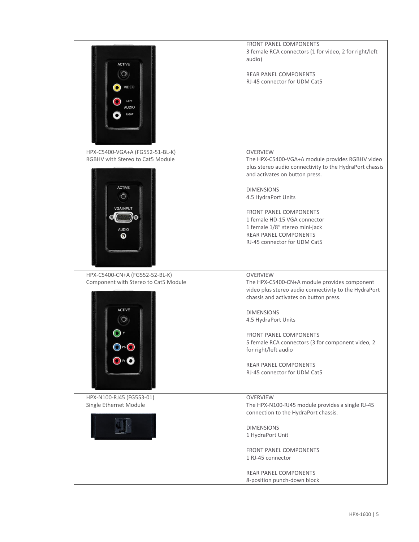|                                                                                  | FRONT PANEL COMPONENTS                                                                                                           |
|----------------------------------------------------------------------------------|----------------------------------------------------------------------------------------------------------------------------------|
| <b>ACTIVE</b><br>$\circledcirc$<br><b>VIDEO</b><br>LEFT<br><b>AUDIO</b><br>RIGHT | 3 female RCA connectors (1 for video, 2 for right/left<br>audio)<br><b>REAR PANEL COMPONENTS</b><br>RJ-45 connector for UDM Cat5 |
| HPX-C5400-VGA+A (FG552-51-BL-K)                                                  | <b>OVERVIEW</b>                                                                                                                  |
| RGBHV with Stereo to Cat5 Module                                                 | The HPX-C5400-VGA+A module provides RGBHV video                                                                                  |
|                                                                                  | plus stereo audio connectivity to the HydraPort chassis                                                                          |
|                                                                                  | and activates on button press.                                                                                                   |
| <b>ACTIVE</b>                                                                    | <b>DIMENSIONS</b>                                                                                                                |
| $\odot$                                                                          | 4.5 HydraPort Units                                                                                                              |
|                                                                                  |                                                                                                                                  |
| <b>VGA INPUT</b>                                                                 | FRONT PANEL COMPONENTS                                                                                                           |
|                                                                                  | 1 female HD-15 VGA connector                                                                                                     |
| <b>AUDIO</b>                                                                     | 1 female 1/8" stereo mini-jack                                                                                                   |
| Θ                                                                                | <b>REAR PANEL COMPONENTS</b>                                                                                                     |
|                                                                                  | RJ-45 connector for UDM Cat5                                                                                                     |
|                                                                                  |                                                                                                                                  |
|                                                                                  |                                                                                                                                  |
|                                                                                  |                                                                                                                                  |
| HPX-C5400-CN+A (FG552-52-BL-K)                                                   | <b>OVERVIEW</b><br>The HPX-C5400-CN+A module provides component                                                                  |
| Component with Stereo to Cat5 Module                                             | video plus stereo audio connectivity to the HydraPort                                                                            |
|                                                                                  | chassis and activates on button press.                                                                                           |
|                                                                                  |                                                                                                                                  |
| <b>ACTIVE</b>                                                                    | <b>DIMENSIONS</b>                                                                                                                |
|                                                                                  | 4.5 HydraPort Units                                                                                                              |
|                                                                                  |                                                                                                                                  |
|                                                                                  | <b>FRONT PANEL COMPONENTS</b>                                                                                                    |
|                                                                                  | 5 female RCA connectors (3 for component video, 2<br>for right/left audio                                                        |
|                                                                                  |                                                                                                                                  |
|                                                                                  | <b>REAR PANEL COMPONENTS</b>                                                                                                     |
|                                                                                  | RJ-45 connector for UDM Cat5                                                                                                     |
|                                                                                  |                                                                                                                                  |
|                                                                                  |                                                                                                                                  |
| HPX-N100-RJ45 (FG553-01)                                                         | <b>OVERVIEW</b>                                                                                                                  |
| Single Ethernet Module                                                           | The HPX-N100-RJ45 module provides a single RJ-45                                                                                 |
|                                                                                  | connection to the HydraPort chassis.                                                                                             |
|                                                                                  | <b>DIMENSIONS</b>                                                                                                                |
|                                                                                  | 1 HydraPort Unit                                                                                                                 |
|                                                                                  |                                                                                                                                  |
|                                                                                  | FRONT PANEL COMPONENTS                                                                                                           |
|                                                                                  | 1 RJ-45 connector                                                                                                                |
|                                                                                  |                                                                                                                                  |
|                                                                                  | REAR PANEL COMPONENTS                                                                                                            |
|                                                                                  | 8-position punch-down block                                                                                                      |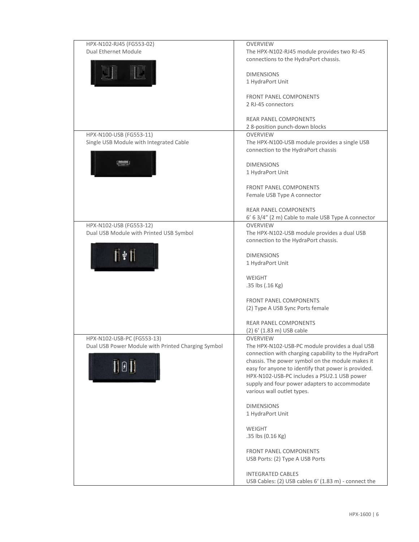| HPX-N102-RJ45 (FG553-02)                                           | <b>OVERVIEW</b>                                                                                        |
|--------------------------------------------------------------------|--------------------------------------------------------------------------------------------------------|
| <b>Dual Ethernet Module</b>                                        | The HPX-N102-RJ45 module provides two RJ-45                                                            |
|                                                                    | connections to the HydraPort chassis.                                                                  |
|                                                                    | <b>DIMENSIONS</b>                                                                                      |
|                                                                    | 1 HydraPort Unit                                                                                       |
|                                                                    |                                                                                                        |
|                                                                    | <b>FRONT PANEL COMPONENTS</b>                                                                          |
|                                                                    | 2 RJ-45 connectors                                                                                     |
|                                                                    | <b>REAR PANEL COMPONENTS</b>                                                                           |
|                                                                    | 2 8-position punch-down blocks                                                                         |
| HPX-N100-USB (FG553-11)                                            | <b>OVERVIEW</b>                                                                                        |
| Single USB Module with Integrated Cable                            | The HPX-N100-USB module provides a single USB<br>connection to the HydraPort chassis                   |
|                                                                    |                                                                                                        |
|                                                                    | <b>DIMENSIONS</b>                                                                                      |
|                                                                    | 1 HydraPort Unit                                                                                       |
|                                                                    | <b>FRONT PANEL COMPONENTS</b>                                                                          |
|                                                                    | Female USB Type A connector                                                                            |
|                                                                    |                                                                                                        |
|                                                                    | <b>REAR PANEL COMPONENTS</b>                                                                           |
|                                                                    | 6' 6 3/4" (2 m) Cable to male USB Type A connector                                                     |
| HPX-N102-USB (FG553-12)<br>Dual USB Module with Printed USB Symbol | <b>OVERVIEW</b><br>The HPX-N102-USB module provides a dual USB                                         |
|                                                                    | connection to the HydraPort chassis.                                                                   |
|                                                                    |                                                                                                        |
| $\mathbb{I}^{\psi}$                                                | <b>DIMENSIONS</b>                                                                                      |
|                                                                    | 1 HydraPort Unit                                                                                       |
|                                                                    | <b>WEIGHT</b>                                                                                          |
|                                                                    | .35 lbs (.16 Kg)                                                                                       |
|                                                                    |                                                                                                        |
|                                                                    | <b>FRONT PANEL COMPONENTS</b>                                                                          |
|                                                                    | (2) Type A USB Sync Ports female                                                                       |
|                                                                    | <b>REAR PANEL COMPONENTS</b>                                                                           |
|                                                                    | (2) 6' (1.83 m) USB cable                                                                              |
| HPX-N102-USB-PC (FG553-13)                                         | <b>OVERVIEW</b>                                                                                        |
| Dual USB Power Module with Printed Charging Symbol                 | The HPX-N102-USB-PC module provides a dual USB<br>connection with charging capability to the HydraPort |
|                                                                    | chassis. The power symbol on the module makes it                                                       |
| <b>TET</b>                                                         | easy for anyone to identify that power is provided.                                                    |
|                                                                    | HPX-N102-USB-PC includes a PSU2.1 USB power                                                            |
|                                                                    | supply and four power adapters to accommodate                                                          |
|                                                                    | various wall outlet types.                                                                             |
|                                                                    | <b>DIMENSIONS</b>                                                                                      |
|                                                                    | 1 HydraPort Unit                                                                                       |
|                                                                    |                                                                                                        |
|                                                                    | <b>WEIGHT</b><br>.35 lbs (0.16 Kg)                                                                     |
|                                                                    |                                                                                                        |
|                                                                    | FRONT PANEL COMPONENTS                                                                                 |
|                                                                    | USB Ports: (2) Type A USB Ports                                                                        |
|                                                                    | <b>INTEGRATED CABLES</b>                                                                               |
|                                                                    | USB Cables: (2) USB cables 6' (1.83 m) - connect the                                                   |
|                                                                    |                                                                                                        |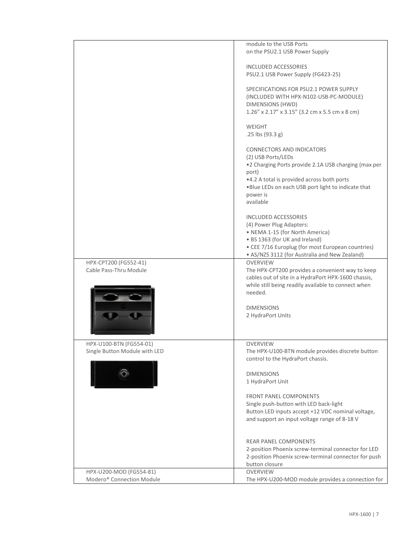|                                                                  | module to the USB Ports<br>on the PSU2.1 USB Power Supply                                                                                                                                                                                      |
|------------------------------------------------------------------|------------------------------------------------------------------------------------------------------------------------------------------------------------------------------------------------------------------------------------------------|
|                                                                  | <b>INCLUDED ACCESSORIES</b><br>PSU2.1 USB Power Supply (FG423-25)                                                                                                                                                                              |
|                                                                  | SPECIFICATIONS FOR PSU2.1 POWER SUPPLY<br>(INCLUDED WITH HPX-N102-USB-PC-MODULE)<br>DIMENSIONS (HWD)<br>$1.26''$ x $2.17''$ x $3.15''$ (3.2 cm x 5.5 cm x 8 cm)                                                                                |
|                                                                  | <b>WEIGHT</b><br>.25 lbs (93.3 g)                                                                                                                                                                                                              |
|                                                                  | CONNECTORS AND INDICATORS<br>(2) USB Ports/LEDs<br>.2 Charging Ports provide 2.1A USB charging (max per<br>port)<br>•4.2 A total is provided across both ports<br>. Blue LEDs on each USB port light to indicate that<br>power is<br>available |
|                                                                  | <b>INCLUDED ACCESSORIES</b><br>(4) Power Plug Adapters:<br>• NEMA 1-15 (for North America)<br>• BS 1363 (for UK and Ireland)<br>• CEE 7/16 Europlug (for most European countries)<br>• AS/NZS 3112 (for Australia and New Zealand)             |
| HPX-CPT200 (FG552-41)<br>Cable Pass-Thru Module                  | <b>OVERVIEW</b><br>The HPX-CPT200 provides a convenient way to keep<br>cables out of site in a HydraPort HPX-1600 chassis,<br>while still being readily available to connect when<br>needed.                                                   |
|                                                                  | <b>DIMENSIONS</b><br>2 HydraPort Units                                                                                                                                                                                                         |
| HPX-U100-BTN (FG554-01)<br>Single Button Module with LED         | <b>OVERVIEW</b><br>The HPX-U100-BTN module provides discrete button<br>control to the HydraPort chassis.                                                                                                                                       |
| $\circledcirc$                                                   | <b>DIMENSIONS</b><br>1 HydraPort Unit                                                                                                                                                                                                          |
|                                                                  | <b>FRONT PANEL COMPONENTS</b><br>Single push-button with LED back-light<br>Button LED inputs accept +12 VDC nominal voltage,<br>and support an input voltage range of 8-18 V                                                                   |
|                                                                  | <b>REAR PANEL COMPONENTS</b><br>2-position Phoenix screw-terminal connector for LED<br>2-position Phoenix screw-terminal connector for push<br>button closure                                                                                  |
| HPX-U200-MOD (FG554-81)<br>Modero <sup>®</sup> Connection Module | <b>OVERVIEW</b><br>The HPX-U200-MOD module provides a connection for                                                                                                                                                                           |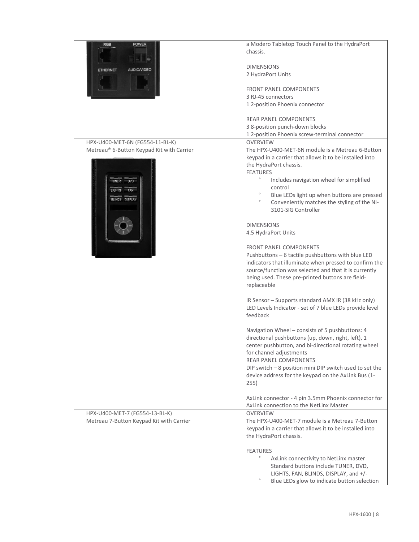| <b>POWER</b><br><b>RGB</b>                | a Modero Tabletop Touch Panel to the HydraPort                                                  |
|-------------------------------------------|-------------------------------------------------------------------------------------------------|
|                                           | chassis.                                                                                        |
|                                           |                                                                                                 |
| <b>AUDIO/VIDEO</b>                        | <b>DIMENSIONS</b>                                                                               |
| <b>ETHERNET</b>                           | 2 HydraPort Units                                                                               |
|                                           |                                                                                                 |
|                                           | <b>FRONT PANEL COMPONENTS</b>                                                                   |
|                                           | 3 RJ-45 connectors                                                                              |
|                                           | 1 2-position Phoenix connector                                                                  |
|                                           |                                                                                                 |
|                                           | <b>REAR PANEL COMPONENTS</b>                                                                    |
|                                           | 3 8-position punch-down blocks                                                                  |
|                                           | 1 2-position Phoenix screw-terminal connector                                                   |
| HPX-U400-MET-6N (FG554-11-BL-K)           | <b>OVERVIEW</b>                                                                                 |
| Metreau® 6-Button Keypad Kit with Carrier | The HPX-U400-MET-6N module is a Metreau 6-Button                                                |
|                                           | keypad in a carrier that allows it to be installed into<br>the HydraPort chassis.               |
|                                           | <b>FEATURES</b>                                                                                 |
| <b>TUNER</b><br><b>DVD</b>                | $\circ$<br>Includes navigation wheel for simplified                                             |
|                                           | control                                                                                         |
| <b>LIGHTS</b><br>FAN                      | $\circ$<br>Blue LEDs light up when buttons are pressed                                          |
| <b>BLINDS DISPLAY</b>                     | $\circ$<br>Conveniently matches the styling of the NI-                                          |
|                                           | 3101-SIG Controller                                                                             |
|                                           |                                                                                                 |
|                                           | <b>DIMENSIONS</b>                                                                               |
|                                           | 4.5 HydraPort Units                                                                             |
|                                           |                                                                                                 |
|                                           | <b>FRONT PANEL COMPONENTS</b>                                                                   |
|                                           | Pushbuttons - 6 tactile pushbuttons with blue LED                                               |
|                                           | indicators that illuminate when pressed to confirm the                                          |
|                                           | source/function was selected and that it is currently                                           |
|                                           | being used. These pre-printed buttons are field-                                                |
|                                           | replaceable                                                                                     |
|                                           | IR Sensor - Supports standard AMX IR (38 kHz only)                                              |
|                                           | LED Levels Indicator - set of 7 blue LEDs provide level                                         |
|                                           | feedback                                                                                        |
|                                           |                                                                                                 |
|                                           | Navigation Wheel - consists of 5 pushbuttons: 4                                                 |
|                                           | directional pushbuttons (up, down, right, left), 1                                              |
|                                           | center pushbutton, and bi-directional rotating wheel                                            |
|                                           | for channel adjustments                                                                         |
|                                           | <b>REAR PANEL COMPONENTS</b>                                                                    |
|                                           | DIP switch - 8 position mini DIP switch used to set the                                         |
|                                           | device address for the keypad on the AxLink Bus (1-                                             |
|                                           | 255)                                                                                            |
|                                           |                                                                                                 |
|                                           | AxLink connector - 4 pin 3.5mm Phoenix connector for<br>AxLink connection to the NetLinx Master |
| HPX-U400-MET-7 (FG554-13-BL-K)            | <b>OVERVIEW</b>                                                                                 |
| Metreau 7-Button Keypad Kit with Carrier  | The HPX-U400-MET-7 module is a Metreau 7-Button                                                 |
|                                           | keypad in a carrier that allows it to be installed into                                         |
|                                           | the HydraPort chassis.                                                                          |
|                                           |                                                                                                 |
|                                           | <b>FEATURES</b>                                                                                 |
|                                           | $\circ$<br>AxLink connectivity to NetLinx master                                                |
|                                           | Standard buttons include TUNER, DVD,                                                            |
|                                           | LIGHTS, FAN, BLINDS, DISPLAY, and +/-                                                           |
|                                           | $\circ$<br>Blue LEDs glow to indicate button selection                                          |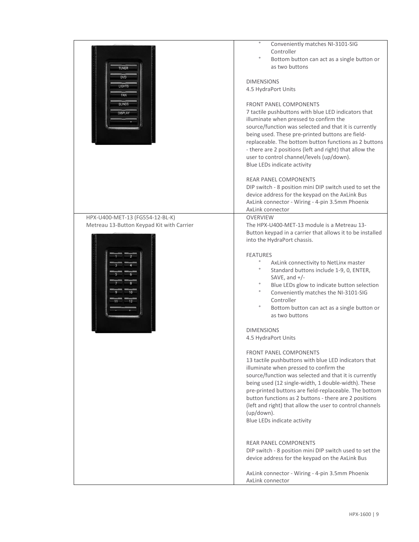|                                           | $\circ$                                                   |
|-------------------------------------------|-----------------------------------------------------------|
|                                           | Conveniently matches NI-3101-SIG                          |
|                                           | Controller                                                |
|                                           | $\circ$<br>Bottom button can act as a single button or    |
| <b>TUNER</b>                              | as two buttons                                            |
| <b>DVD</b>                                |                                                           |
|                                           | <b>DIMENSIONS</b>                                         |
| <b>LIGHTS</b>                             | 4.5 HydraPort Units                                       |
| FAN                                       |                                                           |
| <b>BLINDS</b>                             | <b>FRONT PANEL COMPONENTS</b>                             |
| <b>DISPLAY</b>                            | 7 tactile pushbuttons with blue LED indicators that       |
|                                           | illuminate when pressed to confirm the                    |
|                                           |                                                           |
|                                           | source/function was selected and that it is currently     |
|                                           | being used. These pre-printed buttons are field-          |
|                                           | replaceable. The bottom button functions as 2 buttons     |
|                                           | - there are 2 positions (left and right) that allow the   |
|                                           | user to control channel/levels (up/down).                 |
|                                           | Blue LEDs indicate activity                               |
|                                           |                                                           |
|                                           | <b>REAR PANEL COMPONENTS</b>                              |
|                                           | DIP switch - 8 position mini DIP switch used to set the   |
|                                           | device address for the keypad on the AxLink Bus           |
|                                           | AxLink connector - Wiring - 4-pin 3.5mm Phoenix           |
|                                           | AxLink connector                                          |
| HPX-U400-MET-13 (FG554-12-BL-K)           | <b>OVERVIEW</b>                                           |
| Metreau 13-Button Keypad Kit with Carrier | The HPX-U400-MET-13 module is a Metreau 13-               |
|                                           |                                                           |
|                                           | Button keypad in a carrier that allows it to be installed |
|                                           | into the HydraPort chassis.                               |
|                                           |                                                           |
|                                           | <b>FEATURES</b>                                           |
|                                           | AxLink connectivity to NetLinx master                     |
|                                           | Standard buttons include 1-9, 0, ENTER,                   |
|                                           | SAVE, and $+/-$                                           |
|                                           | Blue LEDs glow to indicate button selection               |
|                                           | $\circ$<br>Conveniently matches the NI-3101-SIG           |
|                                           | Controller                                                |
|                                           | $\circ$<br>Bottom button can act as a single button or    |
|                                           | as two buttons                                            |
|                                           |                                                           |
|                                           | <b>DIMENSIONS</b>                                         |
|                                           | 4.5 HydraPort Units                                       |
|                                           |                                                           |
|                                           | <b>FRONT PANEL COMPONENTS</b>                             |
|                                           |                                                           |
|                                           | 13 tactile pushbuttons with blue LED indicators that      |
|                                           | illuminate when pressed to confirm the                    |
|                                           | source/function was selected and that it is currently     |
|                                           | being used (12 single-width, 1 double-width). These       |
|                                           | pre-printed buttons are field-replaceable. The bottom     |
|                                           | button functions as 2 buttons - there are 2 positions     |
|                                           | (left and right) that allow the user to control channels  |
|                                           | $(up/down)$ .                                             |
|                                           | Blue LEDs indicate activity                               |
|                                           |                                                           |
|                                           |                                                           |
|                                           | <b>REAR PANEL COMPONENTS</b>                              |
|                                           | DIP switch - 8 position mini DIP switch used to set the   |
|                                           | device address for the keypad on the AxLink Bus           |
|                                           |                                                           |
|                                           |                                                           |
|                                           | AxLink connector - Wiring - 4-pin 3.5mm Phoenix           |
|                                           | AxLink connector                                          |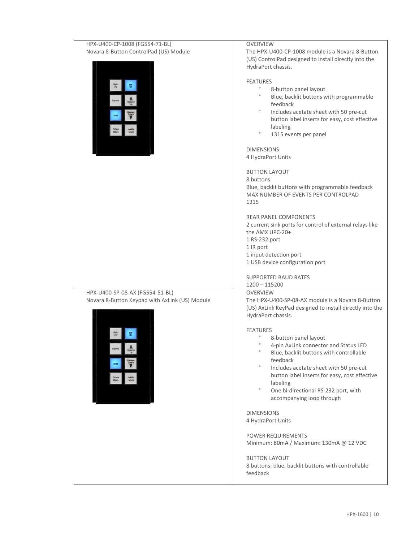| HPX-U400-CP-1008 (FG554-71-BL)                 | <b>OVERVIEW</b>                                                                         |
|------------------------------------------------|-----------------------------------------------------------------------------------------|
| Novara 8-Button ControlPad (US) Module         | The HPX-U400-CP-1008 module is a Novara 8-Button                                        |
|                                                | (US) ControlPad designed to install directly into the<br>HydraPort chassis.             |
|                                                |                                                                                         |
|                                                | <b>FEATURES</b>                                                                         |
|                                                | $\circ$<br>8-button panel layout                                                        |
|                                                | $\circ$<br>Blue, backlit buttons with programmable<br>feedback                          |
|                                                | $\circ$<br>Includes acetate sheet with 50 pre-cut                                       |
|                                                | button label inserts for easy, cost effective                                           |
|                                                | labeling                                                                                |
|                                                | $\circ$<br>1315 events per panel                                                        |
|                                                | <b>DIMENSIONS</b>                                                                       |
|                                                | 4 HydraPort Units                                                                       |
|                                                |                                                                                         |
|                                                | <b>BUTTON LAYOUT</b>                                                                    |
|                                                | 8 buttons                                                                               |
|                                                | Blue, backlit buttons with programmable feedback<br>MAX NUMBER OF EVENTS PER CONTROLPAD |
|                                                | 1315                                                                                    |
|                                                |                                                                                         |
|                                                | <b>REAR PANEL COMPONENTS</b>                                                            |
|                                                | 2 current sink ports for control of external relays like                                |
|                                                | the AMX UPC-20+<br>1 RS-232 port                                                        |
|                                                | 1 IR port                                                                               |
|                                                | 1 input detection port                                                                  |
|                                                | 1 USB device configuration port                                                         |
|                                                |                                                                                         |
|                                                | <b>SUPPORTED BAUD RATES</b><br>$1200 - 115200$                                          |
| HPX-U400-SP-08-AX (FG554-51-BL)                | <b>OVERVIEW</b>                                                                         |
| Novara 8-Button Keypad with AxLink (US) Module | The HPX-U400-SP-08-AX module is a Novara 8-Button                                       |
|                                                | (US) AxLink KeyPad designed to install directly into the                                |
|                                                | HydraPort chassis.                                                                      |
|                                                | <b>FEATURES</b>                                                                         |
|                                                | 8-button panel layout                                                                   |
|                                                | 4-pin AxLink connector and Status LED                                                   |
|                                                | $\circ$<br>Blue, backlit buttons with controllable                                      |
|                                                | feedback<br>$\circ$<br>Includes acetate sheet with 50 pre-cut                           |
|                                                | button label inserts for easy, cost effective                                           |
|                                                | labeling                                                                                |
|                                                | $\circ$<br>One bi-directional RS-232 port, with                                         |
|                                                | accompanying loop through                                                               |
|                                                | <b>DIMENSIONS</b>                                                                       |
|                                                | 4 HydraPort Units                                                                       |
|                                                |                                                                                         |
|                                                | POWER REQUIREMENTS                                                                      |
|                                                | Minimum: 80mA / Maximum: 130mA @ 12 VDC                                                 |
|                                                | <b>BUTTON LAYOUT</b>                                                                    |
|                                                | 8 buttons; blue, backlit buttons with controllable                                      |
|                                                | feedback                                                                                |
|                                                |                                                                                         |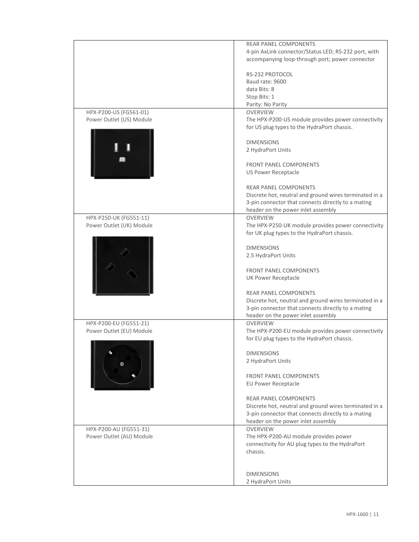|                          | <b>REAR PANEL COMPONENTS</b>                           |
|--------------------------|--------------------------------------------------------|
|                          | 4-pin AxLink connector/Status LED; RS-232 port, with   |
|                          | accompanying loop-through port; power connector        |
|                          |                                                        |
|                          | RS-232 PROTOCOL                                        |
|                          | Baud rate: 9600                                        |
|                          |                                                        |
|                          | data Bits: 8                                           |
|                          | Stop Bits: 1                                           |
|                          | Parity: No Parity                                      |
| HPX-P200-US (FG561-01)   | <b>OVERVIEW</b>                                        |
| Power Outlet (US) Module | The HPX-P200-US module provides power connectivity     |
|                          |                                                        |
|                          | for US plug types to the HydraPort chassis.            |
|                          |                                                        |
|                          | <b>DIMENSIONS</b>                                      |
|                          | 2 HydraPort Units                                      |
|                          |                                                        |
|                          | <b>FRONT PANEL COMPONENTS</b>                          |
|                          | <b>US Power Receptacle</b>                             |
|                          |                                                        |
|                          |                                                        |
|                          | <b>REAR PANEL COMPONENTS</b>                           |
|                          | Discrete hot, neutral and ground wires terminated in a |
|                          | 3-pin connector that connects directly to a mating     |
|                          | header on the power inlet assembly                     |
| HPX-P250-UK (FG551-11)   | <b>OVERVIEW</b>                                        |
| Power Outlet (UK) Module | The HPX-P250-UK module provides power connectivity     |
|                          | for UK plug types to the HydraPort chassis.            |
|                          |                                                        |
|                          |                                                        |
|                          | <b>DIMENSIONS</b>                                      |
|                          | 2.5 HydraPort Units                                    |
|                          |                                                        |
|                          | <b>FRONT PANEL COMPONENTS</b>                          |
|                          | <b>UK Power Receptacle</b>                             |
|                          |                                                        |
|                          | <b>REAR PANEL COMPONENTS</b>                           |
|                          | Discrete hot, neutral and ground wires terminated in a |
|                          | 3-pin connector that connects directly to a mating     |
|                          | header on the power inlet assembly                     |
|                          |                                                        |
| HPX-P200-EU (FG551-21)   | <b>OVERVIEW</b>                                        |
| Power Outlet (EU) Module | The HPX-P200-EU module provides power connectivity     |
|                          | for EU plug types to the HydraPort chassis.            |
|                          |                                                        |
|                          | <b>DIMENSIONS</b>                                      |
|                          | 2 HydraPort Units                                      |
|                          |                                                        |
|                          | <b>FRONT PANEL COMPONENTS</b>                          |
|                          | <b>EU Power Receptacle</b>                             |
|                          |                                                        |
|                          | <b>REAR PANEL COMPONENTS</b>                           |
|                          |                                                        |
|                          | Discrete hot, neutral and ground wires terminated in a |
|                          | 3-pin connector that connects directly to a mating     |
|                          | header on the power inlet assembly                     |
| HPX-P200-AU (FG551-31)   | <b>OVERVIEW</b>                                        |
| Power Outlet (AU) Module | The HPX-P200-AU module provides power                  |
|                          | connectivity for AU plug types to the HydraPort        |
|                          | chassis.                                               |
|                          |                                                        |
|                          |                                                        |
|                          |                                                        |
|                          | <b>DIMENSIONS</b>                                      |
|                          | 2 HydraPort Units                                      |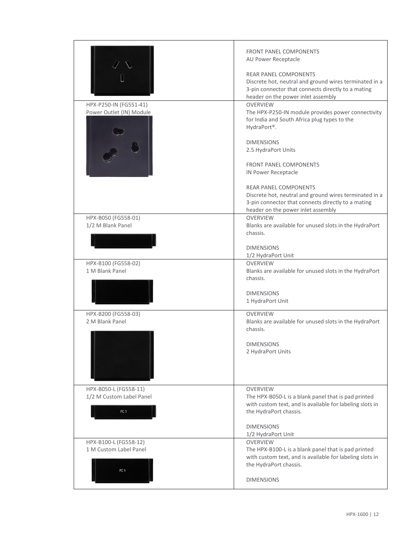| HPX-P250-IN (FG551-41)<br>Power Outlet (IN) Module                   | <b>FRONT PANEL COMPONENTS</b><br>AU Power Receptacle<br><b>REAR PANEL COMPONENTS</b><br>Discrete hot, neutral and ground wires terminated in a<br>3-pin connector that connects directly to a mating<br>header on the power inlet assembly<br><b>OVERVIEW</b><br>The HPX-P250-IN module provides power connectivity<br>for India and South Africa plug types to the<br>HydraPort®.<br><b>DIMENSIONS</b><br>2.5 HydraPort Units<br><b>FRONT PANEL COMPONENTS</b> |
|----------------------------------------------------------------------|-----------------------------------------------------------------------------------------------------------------------------------------------------------------------------------------------------------------------------------------------------------------------------------------------------------------------------------------------------------------------------------------------------------------------------------------------------------------|
|                                                                      | IN Power Receptacle<br><b>REAR PANEL COMPONENTS</b><br>Discrete hot, neutral and ground wires terminated in a<br>3-pin connector that connects directly to a mating<br>header on the power inlet assembly                                                                                                                                                                                                                                                       |
| HPX-B050 (FG558-01)<br>1/2 M Blank Panel                             | <b>OVERVIEW</b><br>Blanks are available for unused slots in the HydraPort<br>chassis.<br><b>DIMENSIONS</b><br>1/2 HydraPort Unit                                                                                                                                                                                                                                                                                                                                |
| HPX-B100 (FG558-02)<br>1 M Blank Panel                               | <b>OVERVIEW</b><br>Blanks are available for unused slots in the HydraPort<br>chassis.<br><b>DIMENSIONS</b><br>1 HydraPort Unit                                                                                                                                                                                                                                                                                                                                  |
| HPX-B200 (FG558-03)<br>2 M Blank Panel                               | <b>OVERVIEW</b><br>Blanks are available for unused slots in the HydraPort<br>chassis.<br><b>DIMENSIONS</b><br>2 HydraPort Units                                                                                                                                                                                                                                                                                                                                 |
| HPX-B050-L (FG558-11)<br>1/2 M Custom Label Panel<br>PC <sub>1</sub> | <b>OVERVIEW</b><br>The HPX-B050-L is a blank panel that is pad printed<br>with custom text, and is available for labeling slots in<br>the HydraPort chassis.<br><b>DIMENSIONS</b><br>1/2 HydraPort Unit                                                                                                                                                                                                                                                         |
| HPX-B100-L (FG558-12)<br>1 M Custom Label Panel<br>PC <sub>1</sub>   | <b>OVERVIEW</b><br>The HPX-B100-L is a blank panel that is pad printed<br>with custom text, and is available for labeling slots in<br>the HydraPort chassis.<br><b>DIMENSIONS</b>                                                                                                                                                                                                                                                                               |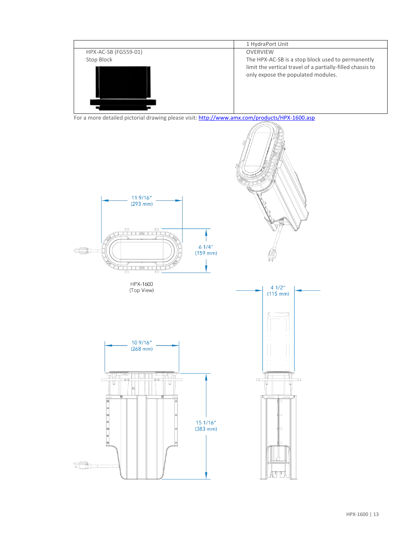

For a more detailed pictorial drawing please visit: <http://www.amx.com/products/HPX-1600.asp>